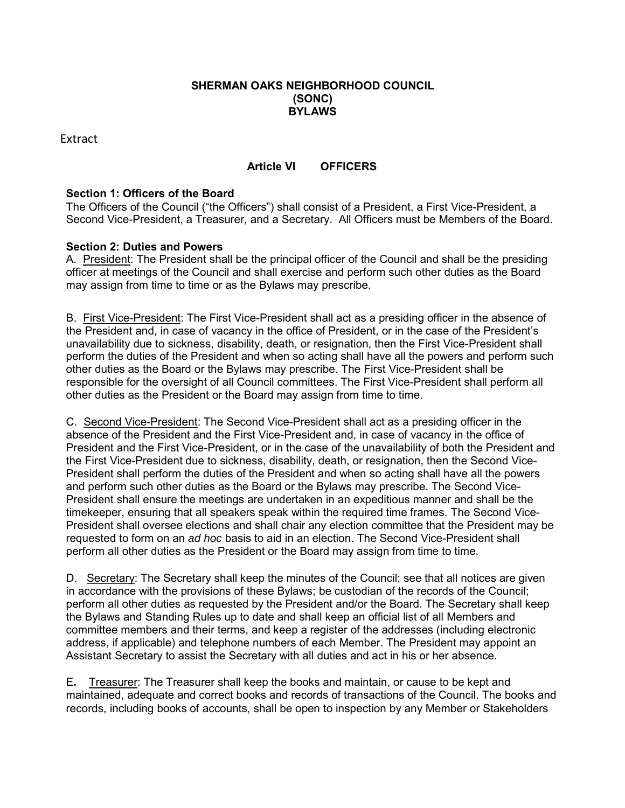### **SHERMAN OAKS NEIGHBORHOOD COUNCIL (SONC) BYLAWS**

Extract

# **Article VI OFFICERS**

## **Section 1: Officers of the Board**

The Officers of the Council ("the Officers") shall consist of a President, a First Vice-President, a Second Vice-President, a Treasurer, and a Secretary. All Officers must be Members of the Board.

## **Section 2: Duties and Powers**

A. President: The President shall be the principal officer of the Council and shall be the presiding officer at meetings of the Council and shall exercise and perform such other duties as the Board may assign from time to time or as the Bylaws may prescribe.

B. First Vice-President: The First Vice-President shall act as a presiding officer in the absence of the President and, in case of vacancy in the office of President, or in the case of the President's unavailability due to sickness, disability, death, or resignation, then the First Vice-President shall perform the duties of the President and when so acting shall have all the powers and perform such other duties as the Board or the Bylaws may prescribe. The First Vice-President shall be responsible for the oversight of all Council committees. The First Vice-President shall perform all other duties as the President or the Board may assign from time to time.

C. Second Vice-President: The Second Vice-President shall act as a presiding officer in the absence of the President and the First Vice-President and, in case of vacancy in the office of President and the First Vice-President, or in the case of the unavailability of both the President and the First Vice-President due to sickness, disability, death, or resignation, then the Second Vice-President shall perform the duties of the President and when so acting shall have all the powers and perform such other duties as the Board or the Bylaws may prescribe. The Second Vice-President shall ensure the meetings are undertaken in an expeditious manner and shall be the timekeeper, ensuring that all speakers speak within the required time frames. The Second Vice-President shall oversee elections and shall chair any election committee that the President may be requested to form on an *ad hoc* basis to aid in an election. The Second Vice-President shall perform all other duties as the President or the Board may assign from time to time.

D. Secretary: The Secretary shall keep the minutes of the Council; see that all notices are given in accordance with the provisions of these Bylaws; be custodian of the records of the Council; perform all other duties as requested by the President and/or the Board. The Secretary shall keep the Bylaws and Standing Rules up to date and shall keep an official list of all Members and committee members and their terms, and keep a register of the addresses (including electronic address, if applicable) and telephone numbers of each Member. The President may appoint an Assistant Secretary to assist the Secretary with all duties and act in his or her absence.

E**.** Treasurer: The Treasurer shall keep the books and maintain, or cause to be kept and maintained, adequate and correct books and records of transactions of the Council. The books and records, including books of accounts, shall be open to inspection by any Member or Stakeholders